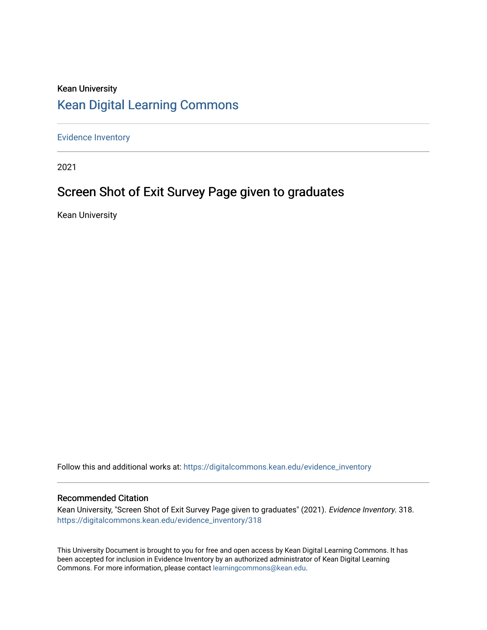# Kean University [Kean Digital Learning Commons](https://digitalcommons.kean.edu/)

[Evidence Inventory](https://digitalcommons.kean.edu/evidence_inventory) 

2021

# Screen Shot of Exit Survey Page given to graduates

Kean University

Follow this and additional works at: [https://digitalcommons.kean.edu/evidence\\_inventory](https://digitalcommons.kean.edu/evidence_inventory?utm_source=digitalcommons.kean.edu%2Fevidence_inventory%2F318&utm_medium=PDF&utm_campaign=PDFCoverPages)

#### Recommended Citation

Kean University, "Screen Shot of Exit Survey Page given to graduates" (2021). Evidence Inventory. 318. [https://digitalcommons.kean.edu/evidence\\_inventory/318](https://digitalcommons.kean.edu/evidence_inventory/318?utm_source=digitalcommons.kean.edu%2Fevidence_inventory%2F318&utm_medium=PDF&utm_campaign=PDFCoverPages)

This University Document is brought to you for free and open access by Kean Digital Learning Commons. It has been accepted for inclusion in Evidence Inventory by an authorized administrator of Kean Digital Learning Commons. For more information, please contact [learningcommons@kean.edu.](mailto:learningcommons@kean.edu)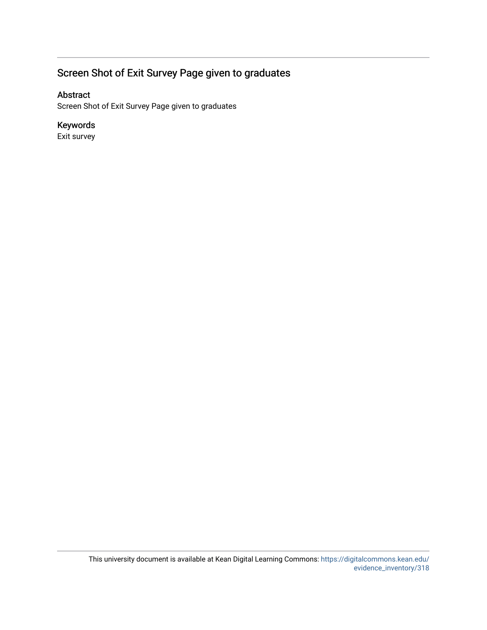# Screen Shot of Exit Survey Page given to graduates

### Abstract

Screen Shot of Exit Survey Page given to graduates

## Keywords

Exit survey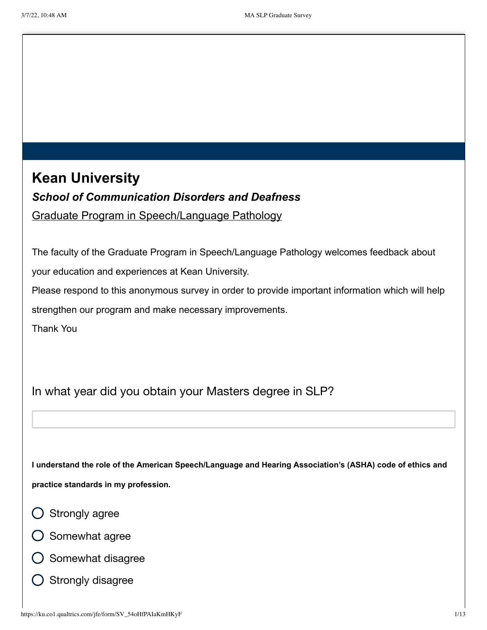**Kean University** *School of Communication Disorders and Deafness* Graduate Program in Speech/Language Pathology

The faculty of the Graduate Program in Speech/Language Pathology welcomes feedback about your education and experiences at Kean University.

Please respond to this anonymous survey in order to provide important information which will help strengthen our program and make necessary improvements.

Thank You

In what year did you obtain your Masters degree in SLP?

**I understand the role of the American Speech/Language and Hearing Association's (ASHA) code of ethics and practice standards in my profession.**

- $\bigcirc$  Strongly agree
- $\bigcirc$  Somewhat agree
- Somewhat disagree
- $\bigcirc$  Strongly disagree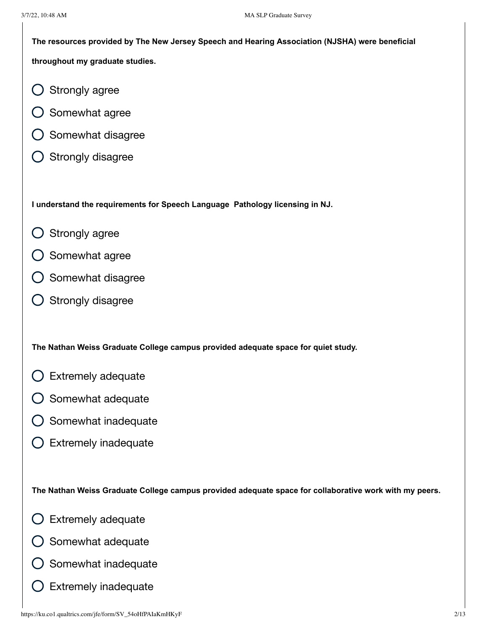3/7/22, 10:48 AM MA SLP Graduate Survey **The resources provided by The New Jersey Speech and Hearing Association (NJSHA) were beneficial throughout my graduate studies.** Strongly agree Somewhat agree Somewhat disagree Strongly disagree **I understand the requirements for Speech Language Pathology licensing in NJ.** Strongly agree ( )  $\bigcirc$  Somewhat agree  $\bigcirc$  Somewhat disagree  $\bigcirc$  Strongly disagree **The Nathan Weiss Graduate College campus provided adequate space for quiet study.** Extremely adequate ( )  $\bigcirc$  Somewhat adequate Somewhat inadequate Extremely inadequate **The Nathan Weiss Graduate College campus provided adequate space for collaborative work with my peers.** Extremely adequate ( ) Somewhat adequate

- Somewhat inadequate
- Extremely inadequate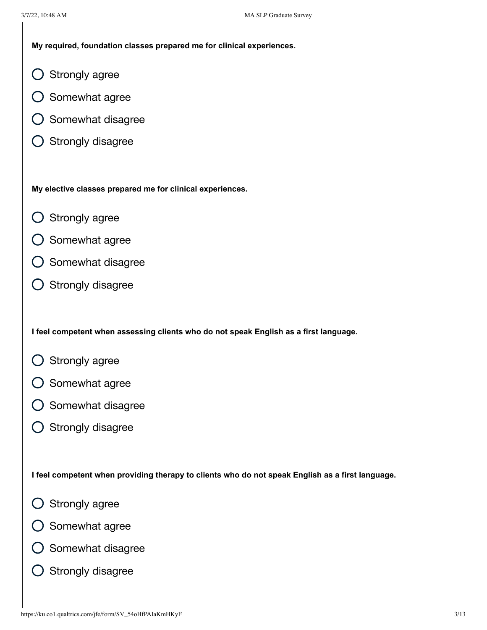**My required, foundation classes prepared me for clinical experiences.**

- Strongly agree  $(\ )$
- Somewhat agree
- Somewhat disagree
- Strongly disagree  $(\ )$

**My elective classes prepared me for clinical experiences.**

- Strongly agree
- Somewhat agree
- Somewhat disagree
- Strongly disagree  $(\ )$

**I feel competent when assessing clients who do not speak English as a first language.**

- Strongly agree
- Somewhat agree
- Somewhat disagree
- Strongly disagree  $\left(\begin{array}{c} \end{array}\right)$

**I feel competent when providing therapy to clients who do not speak English as a first language.**

- Strongly agree
- Somewhat agree
- Somewhat disagree
- Strongly disagree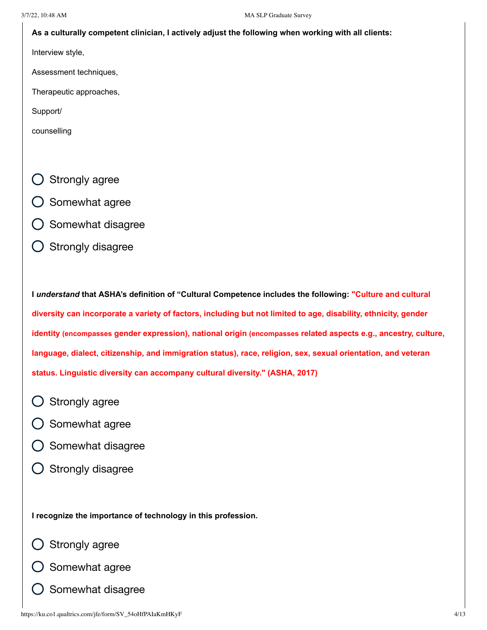#### **As a culturally competent clinician, I actively adjust the following when working with all clients:**

Interview style,

Assessment techniques,

Therapeutic approaches,

Support/

counselling

- Strongly agree
- Somewhat agree
- Somewhat disagree
- Strongly disagree

**I** *understand* **that ASHA's definition of "Cultural Competence includes the following: "Culture and cultural diversity can incorporate a variety of factors, including but not limited to age, disability, ethnicity, gender identity (encompasses gender expression), national origin (encompasses related aspects e.g., ancestry, culture, language, dialect, citizenship, and immigration status), race, religion, sex, sexual orientation, and veteran status. Linguistic diversity can accompany cultural diversity." (ASHA, 2017)**

- Strongly agree
- Somewhat agree
- Somewhat disagree
- Strongly disagree

**I recognize the importance of technology in this profession.**

- Strongly agree
- Somewhat agree
- Somewhat disagree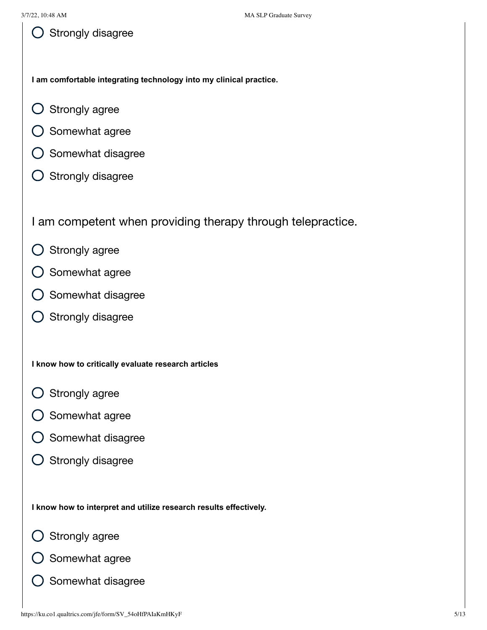**I am comfortable integrating technology into my clinical practice.**

- Strongly agree ( )
- Somewhat agree ( )
- $\bigcirc$  Somewhat disagree
- $\bigcirc$  Strongly disagree

I am competent when providing therapy through telepractice.

- $\bigcirc$  Strongly agree
- Somewhat agree  $(\ )$
- Somewhat disagree
- $\bigcirc$  Strongly disagree

### **I know how to critically evaluate research articles**

- $\bigcirc$  Strongly agree
- Somewhat agree  $\bigcap$
- Somewhat disagree
- $\bigcirc$  Strongly disagree

**I know how to interpret and utilize research results effectively.**

- Strongly agree
- Somewhat agree
- Somewhat disagree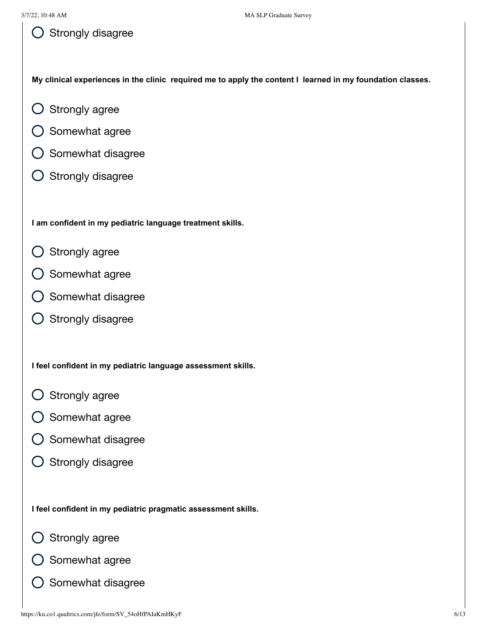My clinical experiences in the clinic required me to apply the content I learned in my foundation classes.

- Strongly agree  $(\ )$
- Somewhat agree ( )
- Somewhat disagree
- Strongly disagree ( )

**I am confident in my pediatric language treatment skills.**

- Strongly agree  $(\ )$
- Somewhat agree
- Somewhat disagree  $(\ )$
- Strongly disagree ( )

**I feel confident in my pediatric language assessment skills.**

- Strongly agree
- Somewhat agree
- Somewhat disagree  $(\ )$
- $\bigcirc$  Strongly disagree

**I feel confident in my pediatric pragmatic assessment skills.**

- Strongly agree
- Somewhat agree
- Somewhat disagree $(\ )$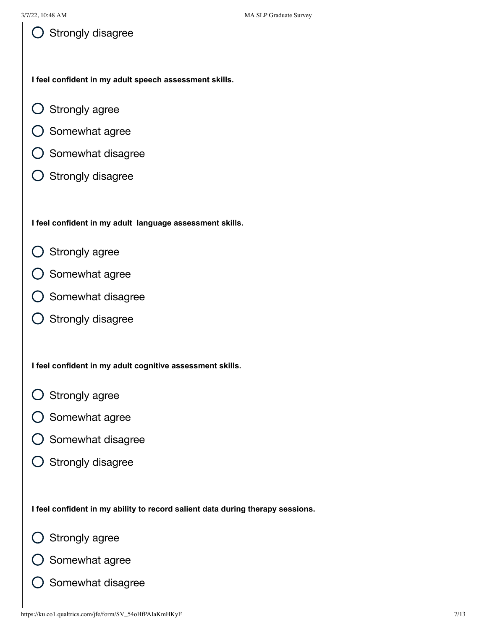**I feel confident in my adult speech assessment skills.**

- Strongly agree  $(\ )$
- Somewhat agree ( )
- Somewhat disagree
- $\bigcirc$  Strongly disagree

**I feel confident in my adult language assessment skills.**

- Strongly agree  $(\ )$
- Somewhat agree
- Somewhat disagree  $(\ )$
- Strongly disagree ( )

**I feel confident in my adult cognitive assessment skills.**

- Strongly agree
- Somewhat agree
- Somewhat disagree  $(\ )$
- $\bigcirc$  Strongly disagree

**I feel confident in my ability to record salient data during therapy sessions.**

- Strongly agree
- Somewhat agree
- Somewhat disagree $(\ )$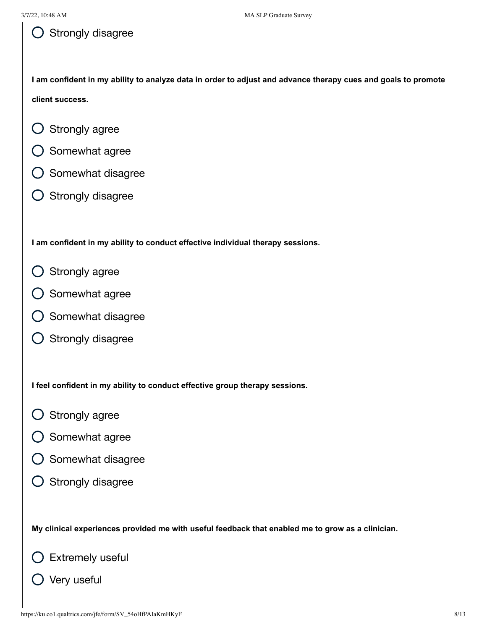I am confident in my ability to analyze data in order to adjust and advance therapy cues and goals to promote **client success.**

- Strongly agree  $\left(\begin{array}{c} 1 \end{array}\right)$
- Somewhat agree
- Somewhat disagree
- $\bigcirc$  Strongly disagree

**I am confident in my ability to conduct effective individual therapy sessions.**

- Strongly agree
- Somewhat agree
- Somewhat disagree
- $\bigcirc$  Strongly disagree

**I feel confident in my ability to conduct effective group therapy sessions.**

- Strongly agree  $\left( \begin{array}{c} 1 \end{array} \right)$
- Somewhat agree
- Somewhat disagree
- $\bigcirc$  Strongly disagree

**My clinical experiences provided me with useful feedback that enabled me to grow as a clinician.**

Extremely useful

Very useful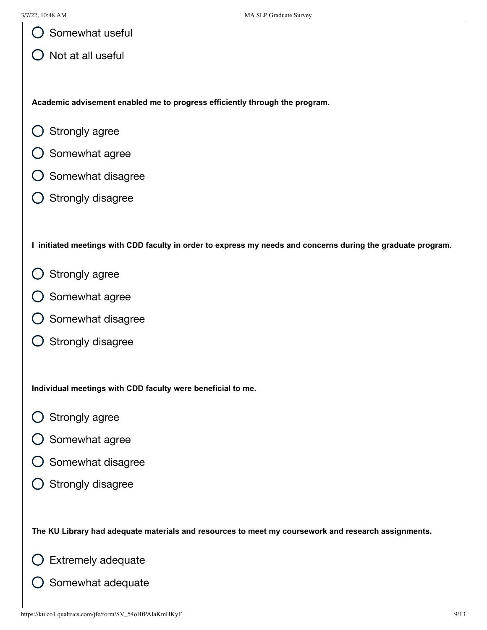Somewhat useful

Not at all useful

**Academic advisement enabled me to progress efficiently through the program.**

- $\left(\begin{array}{c} 1 \end{array}\right)$ Strongly agree
- $\bigcirc$  Somewhat agree
- Somewhat disagree
- Strongly disagree

I initiated meetings with CDD faculty in order to express my needs and concerns during the graduate program.

- Strongly agree
- Somewhat agree
- Somewhat disagree
- $\bigcirc$  Strongly disagree

**Individual meetings with CDD faculty were beneficial to me.**

- Strongly agree
- $\bigcirc$  Somewhat agree
- Somewhat disagree
- $\bigcirc$  Strongly disagree

**The KU Library had adequate materials and resources to meet my coursework and research assignments.**

Extremely adequate

Somewhat adequate $(\ )$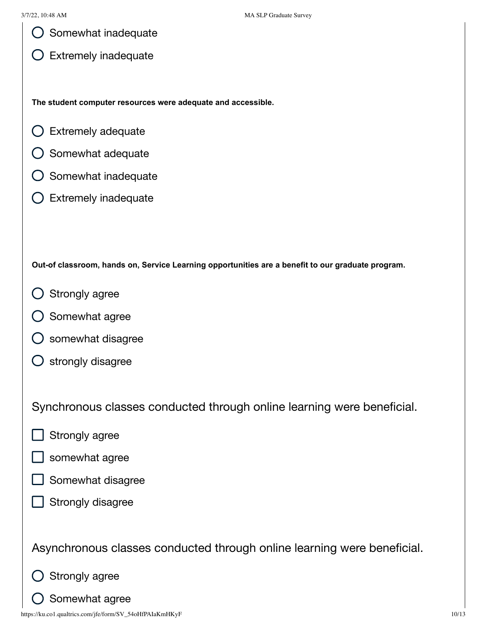| $\bigcirc$ Somewhat inadequate |
|--------------------------------|
|--------------------------------|

 $\bigcirc$  Extremely inadequate

**The student computer resources were adequate and accessible.**

- Extremely adequate  $\left( \begin{array}{c} 1 \end{array} \right)$
- $\bigcirc$  Somewhat adequate
- Somewhat inadequate
- Extremely inadequate

**Out-of classroom, hands on, Service Learning opportunities are a benefit to our graduate program.**

- Strongly agree
- Somewhat agree
- somewhat disagree
- strongly disagree  $\left( \ \right)$

Synchronous classes conducted through online learning were beneficial.

- Strongly agree
- somewhat agree
- Somewhat disagree
- Strongly disagree

Asynchronous classes conducted through online learning were beneficial.

- Strongly agree
- Somewhat agree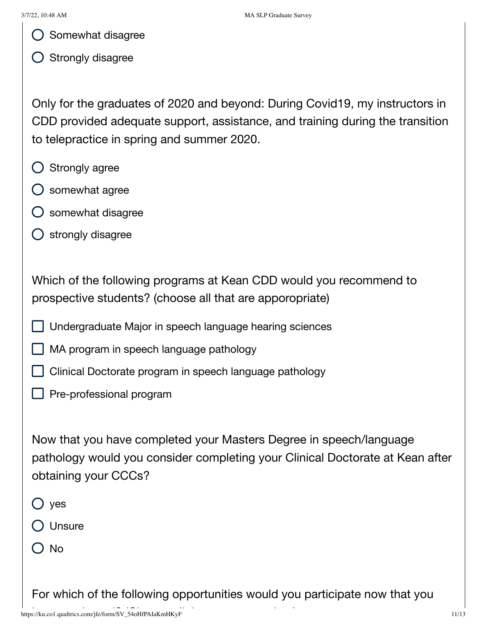$\bigcirc$  Somewhat disagree

 $\bigcirc$  Strongly disagree

Only for the graduates of 2020 and beyond: During Covid19, my instructors in CDD provided adequate support, assistance, and training during the transition to telepractice in spring and summer 2020.

- Strongly agree
- $\bigcirc$  somewhat agree
- somewhat disagree
- strongly disagree

Which of the following programs at Kean CDD would you recommend to prospective students? (choose all that are apporopriate)

- Undergraduate Major in speech language hearing sciences
- MA program in speech language pathology
- Clinical Doctorate program in speech language pathology
- $\Box$  Pre-professional program

Now that you have completed your Masters Degree in speech/language pathology would you consider completing your Clinical Doctorate at Kean after obtaining your CCCs?

- yes
- O Unsure
- () No

For which of the following opportunities would you participate now that you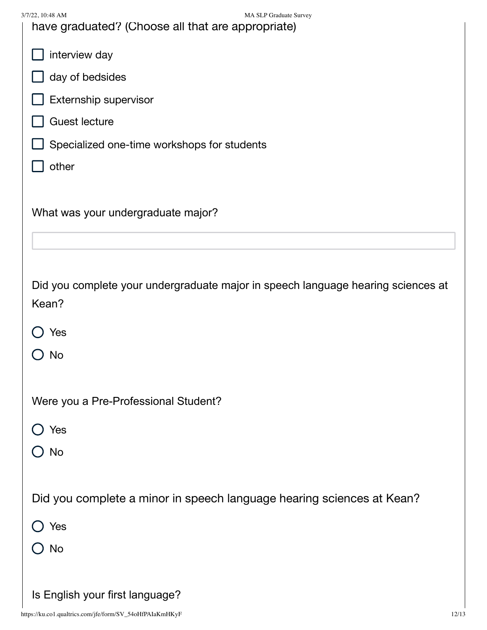| 3/7/22, 10:48 AM<br>MA SLP Graduate Survey<br>have graduated? (Choose all that are appropriate) |
|-------------------------------------------------------------------------------------------------|
| interview day                                                                                   |
| day of bedsides                                                                                 |
| Externship supervisor                                                                           |
| <b>Guest lecture</b>                                                                            |
| Specialized one-time workshops for students                                                     |
| other                                                                                           |
|                                                                                                 |
| What was your undergraduate major?                                                              |
|                                                                                                 |
|                                                                                                 |
| Did you complete your undergraduate major in speech language hearing sciences at                |
| Kean?                                                                                           |
| Yes                                                                                             |
| No                                                                                              |
|                                                                                                 |
| Were you a Pre-Professional Student?                                                            |
| Yes                                                                                             |
| No                                                                                              |
|                                                                                                 |
| Did you complete a minor in speech language hearing sciences at Kean?                           |
| $\bigcirc$ Yes                                                                                  |
| <b>No</b>                                                                                       |
|                                                                                                 |
| Is English your first language?                                                                 |